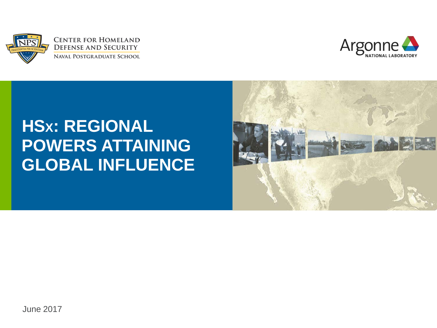



#### **HSX: REGIONAL POWERS ATTAINING GLOBAL INFLUENCE**

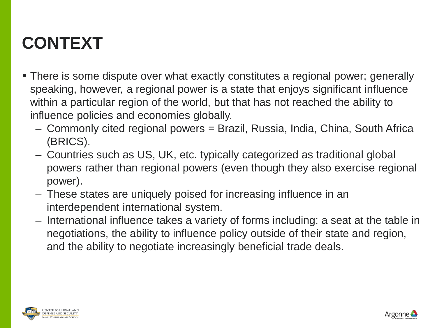#### **CONTEXT**

- There is some dispute over what exactly constitutes a regional power; generally speaking, however, a regional power is a state that enjoys significant influence within a particular region of the world, but that has not reached the ability to influence policies and economies globally.
	- Commonly cited regional powers = Brazil, Russia, India, China, South Africa (BRICS).
	- Countries such as US, UK, etc. typically categorized as traditional global powers rather than regional powers (even though they also exercise regional power).
	- These states are uniquely poised for increasing influence in an interdependent international system.
	- International influence takes a variety of forms including: a seat at the table in negotiations, the ability to influence policy outside of their state and region, and the ability to negotiate increasingly beneficial trade deals.





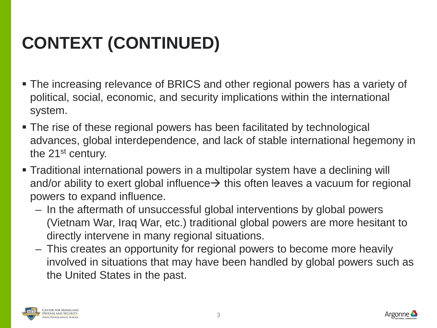# **CONTEXT (CONTINUED)**

- The increasing relevance of BRICS and other regional powers has a variety of political, social, economic, and security implications within the international system.
- The rise of these regional powers has been facilitated by technological advances, global interdependence, and lack of stable international hegemony in the 21st century.
- Traditional international powers in a multipolar system have a declining will and/or ability to exert global influence  $\rightarrow$  this often leaves a vacuum for regional powers to expand influence.
	- In the aftermath of unsuccessful global interventions by global powers (Vietnam War, Iraq War, etc.) traditional global powers are more hesitant to directly intervene in many regional situations.
	- This creates an opportunity for regional powers to become more heavily involved in situations that may have been handled by global powers such as the United States in the past.



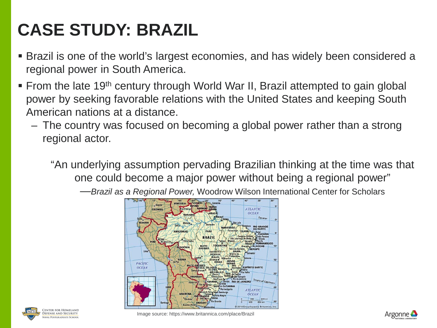### **CASE STUDY: BRAZIL**

- Brazil is one of the world's largest economies, and has widely been considered a regional power in South America.
- **From the late 19<sup>th</sup> century through World War II, Brazil attempted to gain global** power by seeking favorable relations with the United States and keeping South American nations at a distance.
	- The country was focused on becoming a global power rather than a strong regional actor.

"An underlying assumption pervading Brazilian thinking at the time was that one could become a major power without being a regional power"

—*Brazil as a Regional Power,* Woodrow Wilson International Center for Scholars





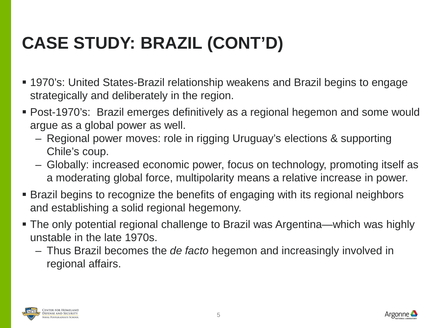### **CASE STUDY: BRAZIL (CONT'D)**

- 1970's: United States-Brazil relationship weakens and Brazil begins to engage strategically and deliberately in the region.
- Post-1970's: Brazil emerges definitively as a regional hegemon and some would argue as a global power as well.
	- Regional power moves: role in rigging Uruguay's elections & supporting Chile's coup.
	- Globally: increased economic power, focus on technology, promoting itself as a moderating global force, multipolarity means a relative increase in power.
- Brazil begins to recognize the benefits of engaging with its regional neighbors and establishing a solid regional hegemony.
- The only potential regional challenge to Brazil was Argentina—which was highly unstable in the late 1970s.
	- Thus Brazil becomes the *de facto* hegemon and increasingly involved in regional affairs.



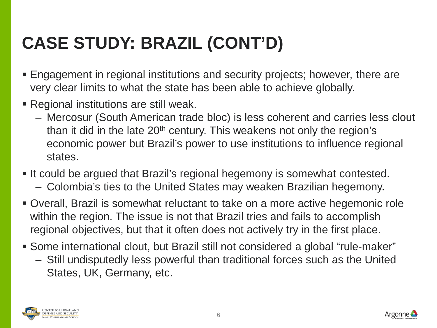### **CASE STUDY: BRAZIL (CONT'D)**

- Engagement in regional institutions and security projects; however, there are very clear limits to what the state has been able to achieve globally.
- Regional institutions are still weak.
	- Mercosur (South American trade bloc) is less coherent and carries less clout than it did in the late 20<sup>th</sup> century. This weakens not only the region's economic power but Brazil's power to use institutions to influence regional states.
- It could be argued that Brazil's regional hegemony is somewhat contested.
	- Colombia's ties to the United States may weaken Brazilian hegemony.
- Overall, Brazil is somewhat reluctant to take on a more active hegemonic role within the region. The issue is not that Brazil tries and fails to accomplish regional objectives, but that it often does not actively try in the first place.
- Some international clout, but Brazil still not considered a global "rule-maker" – Still undisputedly less powerful than traditional forces such as the United States, UK, Germany, etc.



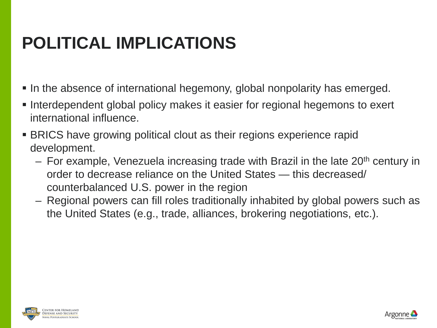#### **POLITICAL IMPLICATIONS**

- In the absence of international hegemony, global nonpolarity has emerged.
- Interdependent global policy makes it easier for regional hegemons to exert international influence.
- BRICS have growing political clout as their regions experience rapid development.
	- $-$  For example, Venezuela increasing trade with Brazil in the late 20<sup>th</sup> century in order to decrease reliance on the United States — this decreased/ counterbalanced U.S. power in the region
	- Regional powers can fill roles traditionally inhabited by global powers such as the United States (e.g., trade, alliances, brokering negotiations, etc.).



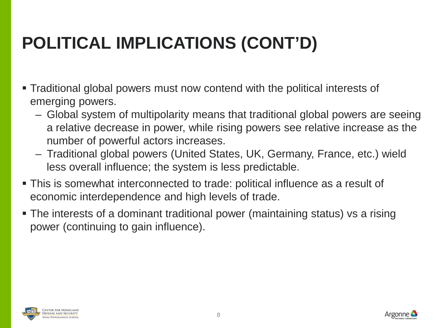# **POLITICAL IMPLICATIONS (CONT'D)**

- Traditional global powers must now contend with the political interests of emerging powers.
	- Global system of multipolarity means that traditional global powers are seeing a relative decrease in power, while rising powers see relative increase as the number of powerful actors increases.
	- Traditional global powers (United States, UK, Germany, France, etc.) wield less overall influence; the system is less predictable.
- This is somewhat interconnected to trade: political influence as a result of economic interdependence and high levels of trade.
- The interests of a dominant traditional power (maintaining status) vs a rising power (continuing to gain influence).



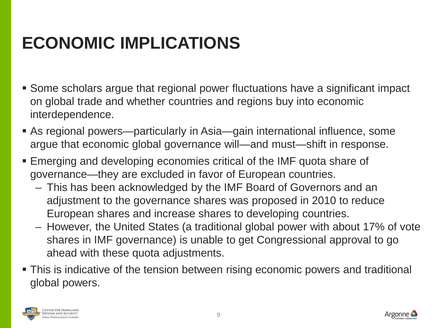#### **ECONOMIC IMPLICATIONS**

- Some scholars argue that regional power fluctuations have a significant impact on global trade and whether countries and regions buy into economic interdependence.
- As regional powers—particularly in Asia—gain international influence, some argue that economic global governance will—and must—shift in response.
- Emerging and developing economies critical of the IMF quota share of governance—they are excluded in favor of European countries.
	- This has been acknowledged by the IMF Board of Governors and an adjustment to the governance shares was proposed in 2010 to reduce European shares and increase shares to developing countries.
	- However, the United States (a traditional global power with about 17% of vote shares in IMF governance) is unable to get Congressional approval to go ahead with these quota adjustments.
- This is indicative of the tension between rising economic powers and traditional global powers.



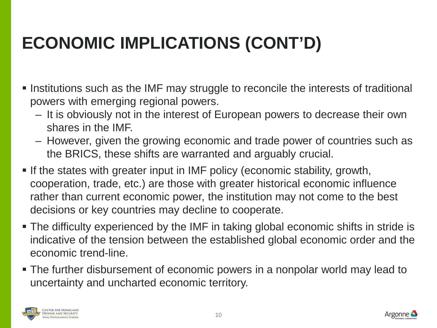# **ECONOMIC IMPLICATIONS (CONT'D)**

- Institutions such as the IMF may struggle to reconcile the interests of traditional powers with emerging regional powers.
	- It is obviously not in the interest of European powers to decrease their own shares in the IMF.
	- However, given the growing economic and trade power of countries such as the BRICS, these shifts are warranted and arguably crucial.
- **If the states with greater input in IMF policy (economic stability, growth,** cooperation, trade, etc.) are those with greater historical economic influence rather than current economic power, the institution may not come to the best decisions or key countries may decline to cooperate.
- The difficulty experienced by the IMF in taking global economic shifts in stride is indicative of the tension between the established global economic order and the economic trend-line.
- The further disbursement of economic powers in a nonpolar world may lead to uncertainty and uncharted economic territory.



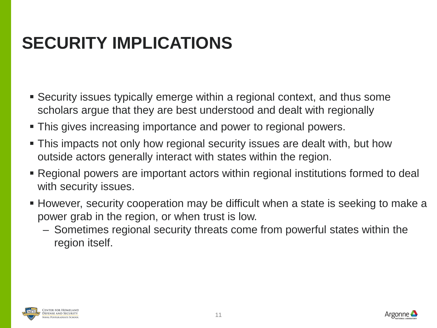#### **SECURITY IMPLICATIONS**

- Security issues typically emerge within a regional context, and thus some scholars argue that they are best understood and dealt with regionally
- **This gives increasing importance and power to regional powers.**
- **This impacts not only how regional security issues are dealt with, but how** outside actors generally interact with states within the region.
- Regional powers are important actors within regional institutions formed to deal with security issues.
- However, security cooperation may be difficult when a state is seeking to make a power grab in the region, or when trust is low.
	- Sometimes regional security threats come from powerful states within the region itself.



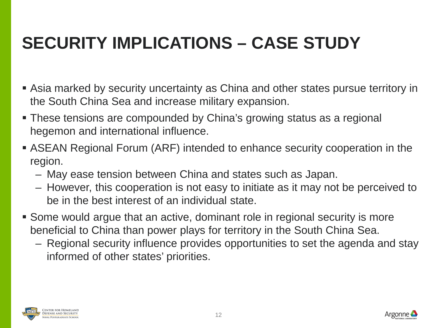### **SECURITY IMPLICATIONS – CASE STUDY**

- Asia marked by security uncertainty as China and other states pursue territory in the South China Sea and increase military expansion.
- **These tensions are compounded by China's growing status as a regional** hegemon and international influence.
- ASEAN Regional Forum (ARF) intended to enhance security cooperation in the region.
	- May ease tension between China and states such as Japan.
	- However, this cooperation is not easy to initiate as it may not be perceived to be in the best interest of an individual state.
- Some would argue that an active, dominant role in regional security is more beneficial to China than power plays for territory in the South China Sea.
	- Regional security influence provides opportunities to set the agenda and stay informed of other states' priorities.



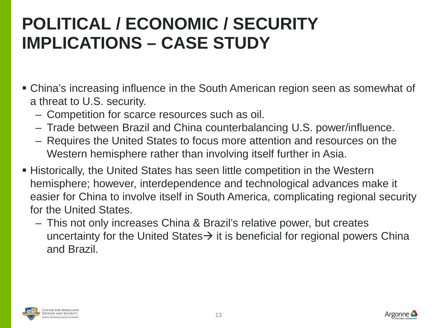#### **POLITICAL / ECONOMIC / SECURITY IMPLICATIONS – CASE STUDY**

- China's increasing influence in the South American region seen as somewhat of a threat to U.S. security.
	- Competition for scarce resources such as oil.
	- Trade between Brazil and China counterbalancing U.S. power/influence.
	- Requires the United States to focus more attention and resources on the Western hemisphere rather than involving itself further in Asia.
- Historically, the United States has seen little competition in the Western hemisphere; however, interdependence and technological advances make it easier for China to involve itself in South America, complicating regional security for the United States.
	- This not only increases China & Brazil's relative power, but creates uncertainty for the United States  $\rightarrow$  it is beneficial for regional powers China and Brazil.



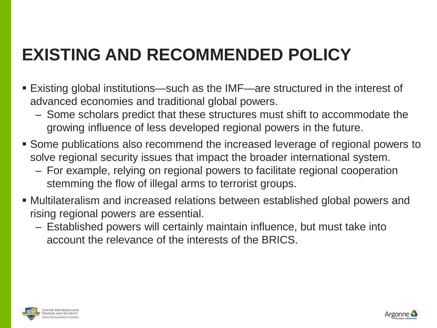#### **EXISTING AND RECOMMENDED POLICY**

- Existing global institutions—such as the IMF—are structured in the interest of advanced economies and traditional global powers.
	- Some scholars predict that these structures must shift to accommodate the growing influence of less developed regional powers in the future.
- Some publications also recommend the increased leverage of regional powers to solve regional security issues that impact the broader international system.
	- For example, relying on regional powers to facilitate regional cooperation stemming the flow of illegal arms to terrorist groups.
- Multilateralism and increased relations between established global powers and rising regional powers are essential.
	- Established powers will certainly maintain influence, but must take into account the relevance of the interests of the BRICS.



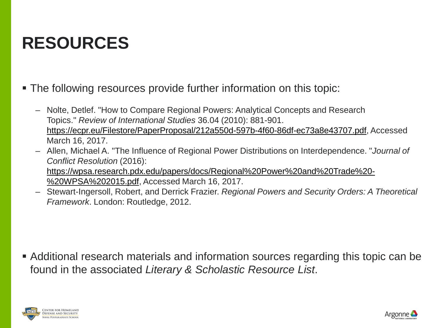#### **RESOURCES**

- The following resources provide further information on this topic:
	- Nolte, Detlef. "How to Compare Regional Powers: Analytical Concepts and Research Topics." *Review of International Studies* 36.04 (2010): 881-901. [https://ecpr.eu/Filestore/PaperProposal/212a550d-597b-4f60-86df-ec73a8e43707.pdf,](https://ecpr.eu/Filestore/PaperProposal/212a550d-597b-4f60-86df-ec73a8e43707.pdf) Accessed March 16, 2017.
	- Allen, Michael A. "The Influence of Regional Power Distributions on Interdependence. "*Journal of Conflict Resolution* (2016):
		- [https://wpsa.research.pdx.edu/papers/docs/Regional%20Power%20and%20Trade%20-](https://wpsa.research.pdx.edu/papers/docs/Regional%20Power%20and%20Trade%20-%20WPSA%202015.pdf) %20WPSA%202015.pdf, Accessed March 16, 2017.
	- Stewart-Ingersoll, Robert, and Derrick Frazier. *Regional Powers and Security Orders: A Theoretical Framework*. London: Routledge, 2012.

 Additional research materials and information sources regarding this topic can be found in the associated *Literary & Scholastic Resource List*.



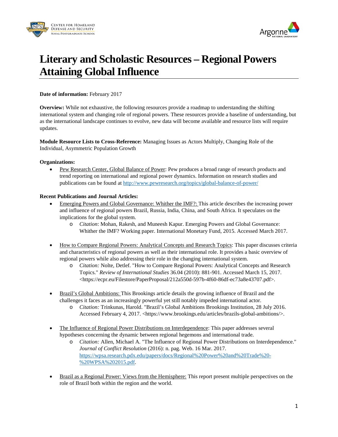



#### **Literary and Scholastic Resources – Regional Powers Attaining Global Influence**

**Date of information:** February 2017

**Overview:** While not exhaustive, the following resources provide a roadmap to understanding the shifting international system and changing role of regional powers. These resources provide a baseline of understanding, but as the international landscape continues to evolve, new data will become available and resource lists will require updates.

**Module Resource Lists to Cross-Reference:** Managing Issues as Actors Multiply, Changing Role of the Individual, Asymmetric Population Growth

#### **Organizations:**

• Pew Research Center, Global Balance of Power: Pew produces a broad range of research products and trend reporting on international and regional power dynamics. Information on research studies and publications can be found at <http://www.pewresearch.org/topics/global-balance-of-power/>

#### **Recent Publications and Journal Articles:**

- Emerging Powers and Global Governance: Whither the IMF?: This article describes the increasing power and influence of regional powers Brazil, Russia, India, China, and South Africa. It speculates on the implications for the global system.
	- o *Citation*: Mohan, Rakesh, and Muneesh Kapur. Emerging Powers and Global Governance: Whither the IMF? Working paper. International Monetary Fund, 2015. Accessed March 2017.
- How to Compare Regional Powers: Analytical Concepts and Research Topics: This paper discusses criteria and characteristics of regional powers as well as their international role. It provides a basic overview of regional powers while also addressing their role in the changing international system.
	- o *Citation:* Nolte, Detlef. "How to Compare Regional Powers: Analytical Concepts and Research Topics." *Review of International Studies* 36.04 (2010): 881-901. Accessed March 15, 2017. <https://ecpr.eu/Filestore/PaperProposal/212a550d-597b-4f60-86df-ec73a8e43707.pdf>.
- Brazil's Global Ambitions: This Brookings article details the growing influence of Brazil and the challenges it faces as an increasingly powerful yet still notably impeded international actor.
	- o *Citation:* Trinkunas, Harold. "Brazil's Global Ambitions Brookings Institution, 28 July 2016. Accessed February 4, 2017. <https://www.brookings.edu/articles/brazils-global-ambitions/>.
- The Influence of Regional Power Distributions on Interdependence: This paper addresses several hypotheses concerning the dynamic between regional hegemons and international trade.
	- o *Citation:* Allen, Michael A. "The Influence of Regional Power Distributions on Interdependence." *Journal of Conflict Resolution* (2016): n. pag. Web. 16 Mar. 2017. [https://wpsa.research.pdx.edu/papers/docs/Regional%20Power%20and%20Trade%20-](https://wpsa.research.pdx.edu/papers/docs/Regional%20Power%20and%20Trade%20-%20WPSA%202015.pdf) [%20WPSA%202015.pdf.](https://wpsa.research.pdx.edu/papers/docs/Regional%20Power%20and%20Trade%20-%20WPSA%202015.pdf)
- Brazil as a Regional Power: Views from the Hemisphere: This report present multiple perspectives on the role of Brazil both within the region and the world.